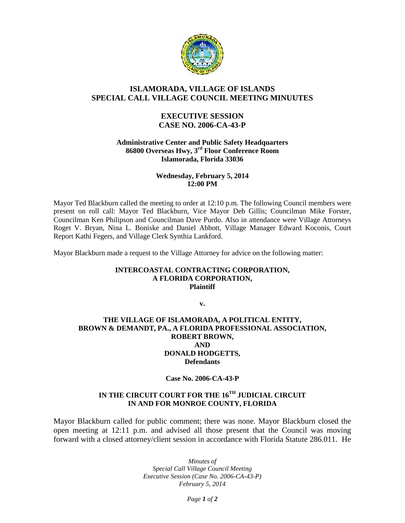

# **ISLAMORADA, VILLAGE OF ISLANDS SPECIAL CALL VILLAGE COUNCIL MEETING MINUUTES**

## **EXECUTIVE SESSION CASE NO. 2006-CA-43-P**

#### **Administrative Center and Public Safety Headquarters 86800 Overseas Hwy, 3rd Floor Conference Room Islamorada, Florida 33036**

### **Wednesday, February 5, 2014 12:00 PM**

Mayor Ted Blackburn called the meeting to order at 12:10 p.m. The following Council members were present on roll call: Mayor Ted Blackburn, Vice Mayor Deb Gillis; Councilman Mike Forster, Councilman Ken Philipson and Councilman Dave Purdo. Also in attendance were Village Attorneys Roget V. Bryan, Nina L. Boniske and Daniel Abbott, Village Manager Edward Koconis, Court Report Kathi Fegers, and Village Clerk Synthia Lankford.

Mayor Blackburn made a request to the Village Attorney for advice on the following matter:

### **INTERCOASTAL CONTRACTING CORPORATION, A FLORIDA CORPORATION, Plaintiff**

**v.**

### **THE VILLAGE OF ISLAMORADA, A POLITICAL ENTITY, BROWN & DEMANDT, PA., A FLORIDA PROFESSIONAL ASSOCIATION, ROBERT BROWN, AND DONALD HODGETTS, Defendants**

### **Case No. 2006-CA-43-P**

## **IN THE CIRCUIT COURT FOR THE 16TH JUDICIAL CIRCUIT IN AND FOR MONROE COUNTY, FLORIDA**

Mayor Blackburn called for public comment; there was none. Mayor Blackburn closed the open meeting at 12:11 p.m. and advised all those present that the Council was moving forward with a closed attorney/client session in accordance with Florida Statute 286.011. He

> *Minutes of Special Call Village Council Meeting Executive Session (Case No. 2006-CA-43-P) February 5, 2014*

> > *Page 1 of 2*